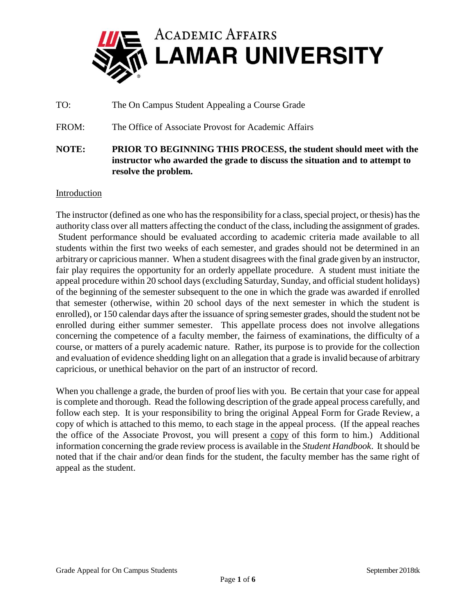

TO: The On Campus Student Appealing a Course Grade

FROM: The Office of Associate Provost for Academic Affairs

**NOTE: PRIOR TO BEGINNING THIS PROCESS, the student should meet with the instructor who awarded the grade to discuss the situation and to attempt to resolve the problem.** 

## Introduction

The instructor (defined as one who has the responsibility for a class, special project, or thesis) has the authority class over all matters affecting the conduct of the class, including the assignment of grades. Student performance should be evaluated according to academic criteria made available to all students within the first two weeks of each semester, and grades should not be determined in an arbitrary or capricious manner. When a student disagrees with the final grade given by an instructor, fair play requires the opportunity for an orderly appellate procedure. A student must initiate the appeal procedure within 20 school days (excluding Saturday, Sunday, and official student holidays) of the beginning of the semester subsequent to the one in which the grade was awarded if enrolled that semester (otherwise, within 20 school days of the next semester in which the student is enrolled), or 150 calendar days after the issuance of spring semester grades, should the student not be enrolled during either summer semester. This appellate process does not involve allegations concerning the competence of a faculty member, the fairness of examinations, the difficulty of a course, or matters of a purely academic nature. Rather, its purpose is to provide for the collection and evaluation of evidence shedding light on an allegation that a grade is invalid because of arbitrary capricious, or unethical behavior on the part of an instructor of record.

When you challenge a grade, the burden of proof lies with you. Be certain that your case for appeal is complete and thorough. Read the following description of the grade appeal process carefully, and follow each step. It is your responsibility to bring the original Appeal Form for Grade Review, a copy of which is attached to this memo, to each stage in the appeal process. (If the appeal reaches the office of the Associate Provost, you will present a copy of this form to him.) Additional information concerning the grade review process is available in the *Student Handbook*. It should be noted that if the chair and/or dean finds for the student, the faculty member has the same right of appeal as the student.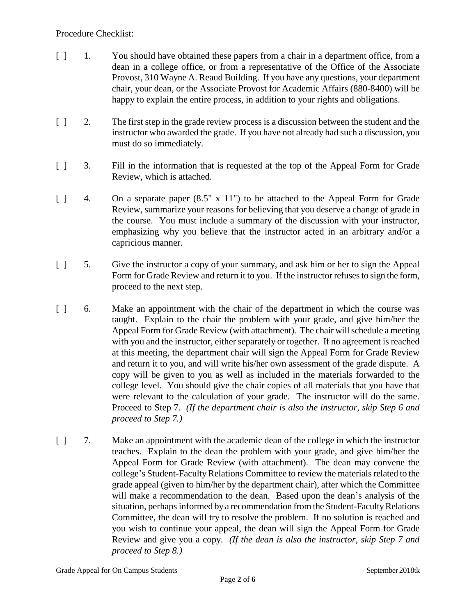## Procedure Checklist:

- [ ] 1. You should have obtained these papers from a chair in a department office, from a dean in a college office, or from a representative of the Office of the Associate Provost, 310 Wayne A. Reaud Building. If you have any questions, your department chair, your dean, or the Associate Provost for Academic Affairs (880-8400) will be happy to explain the entire process, in addition to your rights and obligations.
- [ ] 2. The first step in the grade review process is a discussion between the student and the instructor who awarded the grade. If you have not already had such a discussion, you must do so immediately.
- [ ] 3. Fill in the information that is requested at the top of the Appeal Form for Grade Review, which is attached.
- [ ] 4. On a separate paper  $(8.5" \times 11")$  to be attached to the Appeal Form for Grade Review, summarize your reasons for believing that you deserve a change of grade in the course. You must include a summary of the discussion with your instructor, emphasizing why you believe that the instructor acted in an arbitrary and/or a capricious manner.
- [ ] 5. Give the instructor a copy of your summary, and ask him or her to sign the Appeal Form for Grade Review and return it to you. If the instructor refuses to sign the form, proceed to the next step.
- [ ] 6. Make an appointment with the chair of the department in which the course was taught. Explain to the chair the problem with your grade, and give him/her the Appeal Form for Grade Review (with attachment). The chair will schedule a meeting with you and the instructor, either separately or together. If no agreement is reached at this meeting, the department chair will sign the Appeal Form for Grade Review and return it to you, and will write his/her own assessment of the grade dispute. A copy will be given to you as well as included in the materials forwarded to the college level. You should give the chair copies of all materials that you have that were relevant to the calculation of your grade. The instructor will do the same. Proceed to Step 7. *(If the department chair is also the instructor, skip Step 6 and proceed to Step 7.)*
- [ ] 7. Make an appointment with the academic dean of the college in which the instructor teaches. Explain to the dean the problem with your grade, and give him/her the Appeal Form for Grade Review (with attachment). The dean may convene the college's Student-Faculty Relations Committee to review the materials related to the grade appeal (given to him/her by the department chair), after which the Committee will make a recommendation to the dean. Based upon the dean's analysis of the situation, perhaps informed by a recommendation from the Student-Faculty Relations Committee, the dean will try to resolve the problem. If no solution is reached and you wish to continue your appeal, the dean will sign the Appeal Form for Grade Review and give you a copy. *(If the dean is also the instructor, skip Step 7 and proceed to Step 8.)*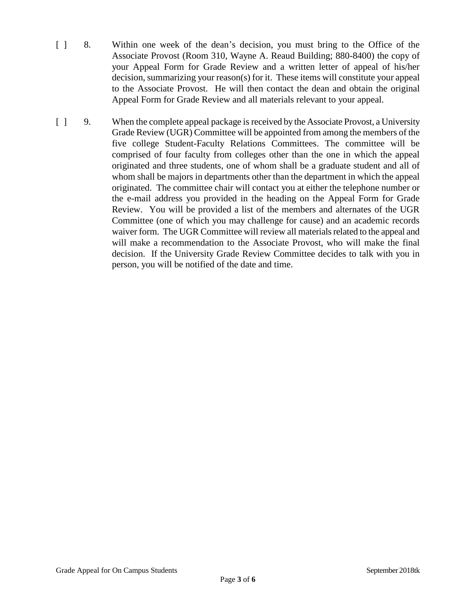- [ ] 8. Within one week of the dean's decision, you must bring to the Office of the Associate Provost (Room 310, Wayne A. Reaud Building; 880-8400) the copy of your Appeal Form for Grade Review and a written letter of appeal of his/her decision, summarizing your reason(s) for it. These items will constitute your appeal to the Associate Provost. He will then contact the dean and obtain the original Appeal Form for Grade Review and all materials relevant to your appeal.
- [ ] 9. When the complete appeal package is received by the Associate Provost, a University Grade Review (UGR) Committee will be appointed from among the members of the five college Student-Faculty Relations Committees. The committee will be comprised of four faculty from colleges other than the one in which the appeal originated and three students, one of whom shall be a graduate student and all of whom shall be majors in departments other than the department in which the appeal originated. The committee chair will contact you at either the telephone number or the e-mail address you provided in the heading on the Appeal Form for Grade Review. You will be provided a list of the members and alternates of the UGR Committee (one of which you may challenge for cause) and an academic records waiver form. The UGR Committee will review all materials related to the appeal and will make a recommendation to the Associate Provost, who will make the final decision. If the University Grade Review Committee decides to talk with you in person, you will be notified of the date and time.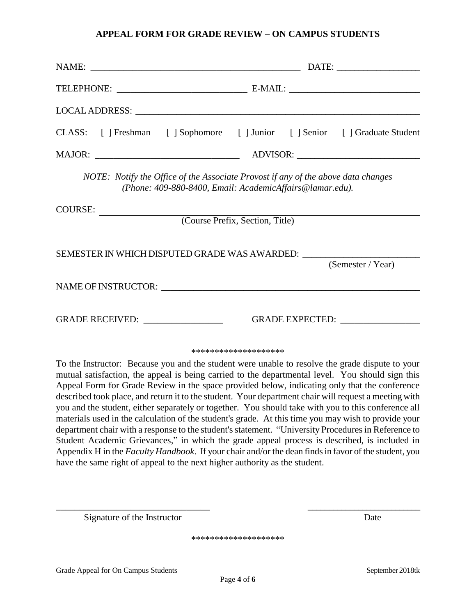## **APPEAL FORM FOR GRADE REVIEW – ON CAMPUS STUDENTS**

|                                                                                                                                               | CLASS: [ ] Freshman [ ] Sophomore [ ] Junior [ ] Senior [ ] Graduate Student                                                                                                                                                                                                                                                                                                                                                                                                                                                                                                                                                                                                                                                                                                                                                                                                                                                               |
|-----------------------------------------------------------------------------------------------------------------------------------------------|--------------------------------------------------------------------------------------------------------------------------------------------------------------------------------------------------------------------------------------------------------------------------------------------------------------------------------------------------------------------------------------------------------------------------------------------------------------------------------------------------------------------------------------------------------------------------------------------------------------------------------------------------------------------------------------------------------------------------------------------------------------------------------------------------------------------------------------------------------------------------------------------------------------------------------------------|
|                                                                                                                                               |                                                                                                                                                                                                                                                                                                                                                                                                                                                                                                                                                                                                                                                                                                                                                                                                                                                                                                                                            |
| NOTE: Notify the Office of the Associate Provost if any of the above data changes<br>(Phone: 409-880-8400, Email: AcademicAffairs@lamar.edu). |                                                                                                                                                                                                                                                                                                                                                                                                                                                                                                                                                                                                                                                                                                                                                                                                                                                                                                                                            |
| COURSE:                                                                                                                                       |                                                                                                                                                                                                                                                                                                                                                                                                                                                                                                                                                                                                                                                                                                                                                                                                                                                                                                                                            |
| (Course Prefix, Section, Title)                                                                                                               |                                                                                                                                                                                                                                                                                                                                                                                                                                                                                                                                                                                                                                                                                                                                                                                                                                                                                                                                            |
| SEMESTER IN WHICH DISPUTED GRADE WAS AWARDED: __________________________________                                                              | (Semester / Year)                                                                                                                                                                                                                                                                                                                                                                                                                                                                                                                                                                                                                                                                                                                                                                                                                                                                                                                          |
|                                                                                                                                               |                                                                                                                                                                                                                                                                                                                                                                                                                                                                                                                                                                                                                                                                                                                                                                                                                                                                                                                                            |
|                                                                                                                                               | GRADE EXPECTED:                                                                                                                                                                                                                                                                                                                                                                                                                                                                                                                                                                                                                                                                                                                                                                                                                                                                                                                            |
|                                                                                                                                               | ********************                                                                                                                                                                                                                                                                                                                                                                                                                                                                                                                                                                                                                                                                                                                                                                                                                                                                                                                       |
| have the same right of appeal to the next higher authority as the student.                                                                    | To the Instructor: Because you and the student were unable to resolve the grade dispute to your<br>mutual satisfaction, the appeal is being carried to the departmental level. You should sign this<br>Appeal Form for Grade Review in the space provided below, indicating only that the conference<br>described took place, and return it to the student. Your department chair will request a meeting with<br>you and the student, either separately or together. You should take with you to this conference all<br>materials used in the calculation of the student's grade. At this time you may wish to provide your<br>department chair with a response to the student's statement. "University Procedures in Reference to<br>Student Academic Grievances," in which the grade appeal process is described, is included in<br>Appendix H in the Faculty Handbook. If your chair and/or the dean finds in favor of the student, you |

Signature of the Instructor Date

\*\*\*\*\*\*\*\*\*\*\*\*\*\*\*\*\*\*\*\*

\_\_\_\_\_\_\_\_\_\_\_\_\_\_\_\_\_\_\_\_\_\_\_\_\_\_\_\_\_\_\_\_\_ \_\_\_\_\_\_\_\_\_\_\_\_\_\_\_\_\_\_\_\_\_\_\_\_\_\_\_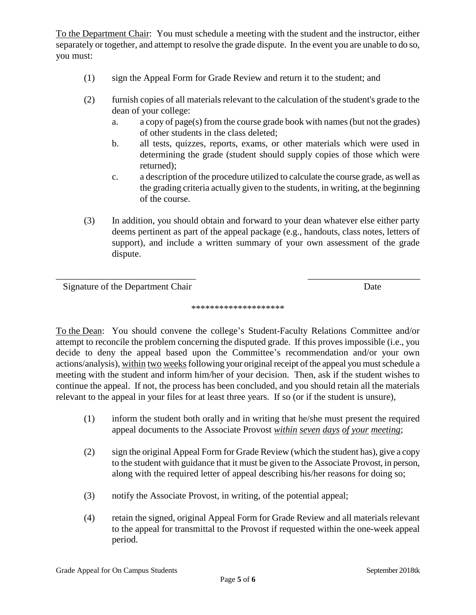To the Department Chair: You must schedule a meeting with the student and the instructor, either separately or together, and attempt to resolve the grade dispute. In the event you are unable to do so, you must:

- (1) sign the Appeal Form for Grade Review and return it to the student; and
- (2) furnish copies of all materials relevant to the calculation of the student's grade to the dean of your college:
	- a. a copy of page(s) from the course grade book with names (but not the grades) of other students in the class deleted;
	- b. all tests, quizzes, reports, exams, or other materials which were used in determining the grade (student should supply copies of those which were returned);
	- c. a description of the procedure utilized to calculate the course grade, as well as the grading criteria actually given to the students, in writing, at the beginning of the course.
- (3) In addition, you should obtain and forward to your dean whatever else either party deems pertinent as part of the appeal package (e.g., handouts, class notes, letters of support), and include a written summary of your own assessment of the grade dispute.

Signature of the Department Chair Date

## \*\*\*\*\*\*\*\*\*\*\*\*\*\*\*\*\*\*\*\*

\_\_\_\_\_\_\_\_\_\_\_\_\_\_\_\_\_\_\_\_\_\_\_\_\_\_\_\_\_\_ \_\_\_\_\_\_\_\_\_\_\_\_\_\_\_\_\_\_\_\_\_\_\_\_\_\_\_

To the Dean: You should convene the college's Student-Faculty Relations Committee and/or attempt to reconcile the problem concerning the disputed grade. If this proves impossible (i.e., you decide to deny the appeal based upon the Committee's recommendation and/or your own actions/analysis), within two weeks following your original receipt of the appeal you must schedule a meeting with the student and inform him/her of your decision. Then, ask if the student wishes to continue the appeal. If not, the process has been concluded, and you should retain all the materials relevant to the appeal in your files for at least three years. If so (or if the student is unsure),

- (1) inform the student both orally and in writing that he/she must present the required appeal documents to the Associate Provost *within seven days of your meeting*;
- (2) sign the original Appeal Form for Grade Review (which the student has), give a copy to the student with guidance that it must be given to the Associate Provost, in person, along with the required letter of appeal describing his/her reasons for doing so;
- (3) notify the Associate Provost, in writing, of the potential appeal;
- (4) retain the signed, original Appeal Form for Grade Review and all materials relevant to the appeal for transmittal to the Provost if requested within the one-week appeal period.